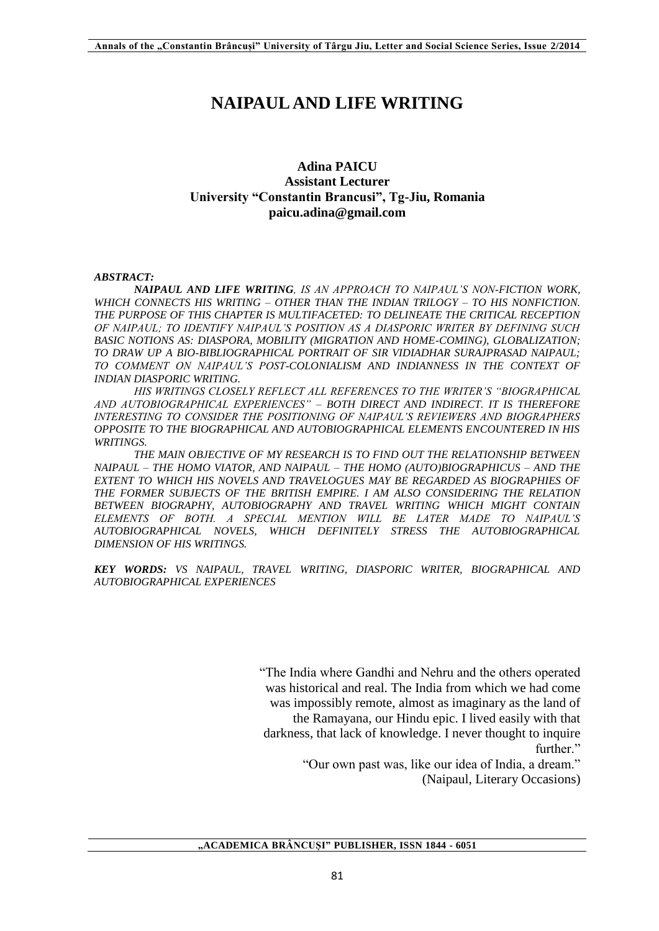# **NAIPAUL AND LIFE WRITING**

## **Adina PAICU Assistant Lecturer University "Constantin Brancusi", Tg-Jiu, Romania paicu.adina@gmail.com**

#### *ABSTRACT:*

*NAIPAUL AND LIFE WRITING, IS AN APPROACH TO NAIPAUL'S NON-FICTION WORK, WHICH CONNECTS HIS WRITING – OTHER THAN THE INDIAN TRILOGY – TO HIS NONFICTION. THE PURPOSE OF THIS CHAPTER IS MULTIFACETED: TO DELINEATE THE CRITICAL RECEPTION OF NAIPAUL; TO IDENTIFY NAIPAUL'S POSITION AS A DIASPORIC WRITER BY DEFINING SUCH BASIC NOTIONS AS: DIASPORA, MOBILITY (MIGRATION AND HOME-COMING), GLOBALIZATION; TO DRAW UP A BIO-BIBLIOGRAPHICAL PORTRAIT OF SIR VIDIADHAR SURAJPRASAD NAIPAUL; TO COMMENT ON NAIPAUL'S POST-COLONIALISM AND INDIANNESS IN THE CONTEXT OF INDIAN DIASPORIC WRITING.* 

*HIS WRITINGS CLOSELY REFLECT ALL REFERENCES TO THE WRITER'S "BIOGRAPHICAL AND AUTOBIOGRAPHICAL EXPERIENCES" – BOTH DIRECT AND INDIRECT. IT IS THEREFORE INTERESTING TO CONSIDER THE POSITIONING OF NAIPAUL'S REVIEWERS AND BIOGRAPHERS OPPOSITE TO THE BIOGRAPHICAL AND AUTOBIOGRAPHICAL ELEMENTS ENCOUNTERED IN HIS WRITINGS.*

*THE MAIN OBJECTIVE OF MY RESEARCH IS TO FIND OUT THE RELATIONSHIP BETWEEN NAIPAUL – THE HOMO VIATOR, AND NAIPAUL – THE HOMO (AUTO)BIOGRAPHICUS – AND THE EXTENT TO WHICH HIS NOVELS AND TRAVELOGUES MAY BE REGARDED AS BIOGRAPHIES OF THE FORMER SUBJECTS OF THE BRITISH EMPIRE. I AM ALSO CONSIDERING THE RELATION BETWEEN BIOGRAPHY, AUTOBIOGRAPHY AND TRAVEL WRITING WHICH MIGHT CONTAIN ELEMENTS OF BOTH. A SPECIAL MENTION WILL BE LATER MADE TO NAIPAUL'S AUTOBIOGRAPHICAL NOVELS, WHICH DEFINITELY STRESS THE AUTOBIOGRAPHICAL DIMENSION OF HIS WRITINGS.*

*KEY WORDS: VS NAIPAUL, TRAVEL WRITING, DIASPORIC WRITER, BIOGRAPHICAL AND AUTOBIOGRAPHICAL EXPERIENCES*

> "The India where Gandhi and Nehru and the others operated was historical and real. The India from which we had come was impossibly remote, almost as imaginary as the land of the Ramayana, our Hindu epic. I lived easily with that darkness, that lack of knowledge. I never thought to inquire further." "Our own past was, like our idea of India, a dream."

(Naipaul, Literary Occasions)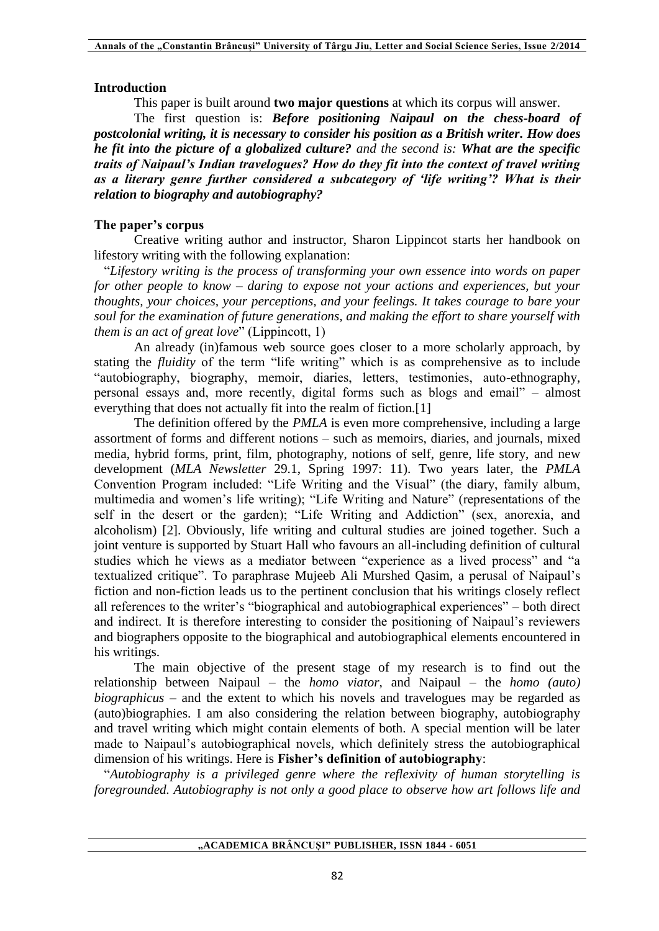### **Introduction**

This paper is built around **two major questions** at which its corpus will answer.

The first question is: *Before positioning Naipaul on the chess-board of postcolonial writing, it is necessary to consider his position as a British writer. How does he fit into the picture of a globalized culture? and the second is: What are the specific traits of Naipaul's Indian travelogues? How do they fit into the context of travel writing as a literary genre further considered a subcategory of 'life writing'? What is their relation to biography and autobiography?* 

## **The paper's corpus**

Creative writing author and instructor, Sharon Lippincot starts her handbook on lifestory writing with the following explanation:

 "*Lifestory writing is the process of transforming your own essence into words on paper for other people to know – daring to expose not your actions and experiences, but your thoughts, your choices, your perceptions, and your feelings. It takes courage to bare your soul for the examination of future generations, and making the effort to share yourself with them is an act of great love*" (Lippincott, 1)

An already (in)famous web source goes closer to a more scholarly approach, by stating the *fluidity* of the term "life writing" which is as comprehensive as to include "autobiography, biography, memoir, diaries, letters, testimonies, auto-ethnography, personal essays and, more recently, digital forms such as blogs and email" – almost everything that does not actually fit into the realm of fiction.[1]

The definition offered by the *PMLA* is even more comprehensive, including a large assortment of forms and different notions – such as memoirs, diaries, and journals, mixed media, hybrid forms, print, film, photography, notions of self, genre, life story, and new development (*MLA Newsletter* 29.1, Spring 1997: 11). Two years later, the *PMLA* Convention Program included: "Life Writing and the Visual" (the diary, family album, multimedia and women's life writing); "Life Writing and Nature" (representations of the self in the desert or the garden); "Life Writing and Addiction" (sex, anorexia, and alcoholism) [2]. Obviously, life writing and cultural studies are joined together. Such a joint venture is supported by Stuart Hall who favours an all-including definition of cultural studies which he views as a mediator between "experience as a lived process" and "a textualized critique". To paraphrase Mujeeb Ali Murshed Qasim, a perusal of Naipaul's fiction and non-fiction leads us to the pertinent conclusion that his writings closely reflect all references to the writer's "biographical and autobiographical experiences" – both direct and indirect. It is therefore interesting to consider the positioning of Naipaul's reviewers and biographers opposite to the biographical and autobiographical elements encountered in his writings.

The main objective of the present stage of my research is to find out the relationship between Naipaul – the *homo viator*, and Naipaul – the *homo (auto) biographicus* – and the extent to which his novels and travelogues may be regarded as (auto)biographies. I am also considering the relation between biography, autobiography and travel writing which might contain elements of both. A special mention will be later made to Naipaul's autobiographical novels, which definitely stress the autobiographical dimension of his writings. Here is **Fisher's definition of autobiography**:

 "*Autobiography is a privileged genre where the reflexivity of human storytelling is foregrounded. Autobiography is not only a good place to observe how art follows life and* 

**"ACADEMICA BRÂNCUȘI" PUBLISHER, ISSN 1844 - 6051**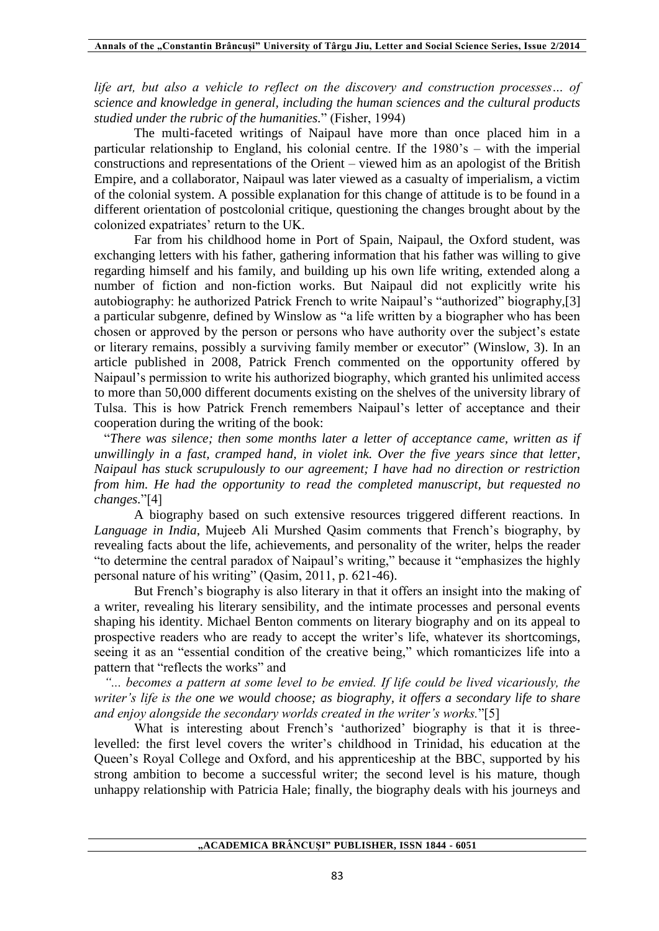*life art, but also a vehicle to reflect on the discovery and construction processes… of science and knowledge in general, including the human sciences and the cultural products studied under the rubric of the humanities.*" (Fisher, 1994)

The multi-faceted writings of Naipaul have more than once placed him in a particular relationship to England, his colonial centre. If the 1980's – with the imperial constructions and representations of the Orient – viewed him as an apologist of the British Empire, and a collaborator, Naipaul was later viewed as a casualty of imperialism, a victim of the colonial system. A possible explanation for this change of attitude is to be found in a different orientation of postcolonial critique, questioning the changes brought about by the colonized expatriates' return to the UK.

Far from his childhood home in Port of Spain, Naipaul, the Oxford student, was exchanging letters with his father, gathering information that his father was willing to give regarding himself and his family, and building up his own life writing, extended along a number of fiction and non-fiction works. But Naipaul did not explicitly write his autobiography: he authorized Patrick French to write Naipaul's "authorized" biography,[3] a particular subgenre, defined by Winslow as "a life written by a biographer who has been chosen or approved by the person or persons who have authority over the subject's estate or literary remains, possibly a surviving family member or executor" (Winslow, 3). In an article published in 2008, Patrick French commented on the opportunity offered by Naipaul's permission to write his authorized biography, which granted his unlimited access to more than 50,000 different documents existing on the shelves of the university library of Tulsa. This is how Patrick French remembers Naipaul's letter of acceptance and their cooperation during the writing of the book:

 "*There was silence; then some months later a letter of acceptance came, written as if unwillingly in a fast, cramped hand, in violet ink. Over the five years since that letter, Naipaul has stuck scrupulously to our agreement; I have had no direction or restriction from him. He had the opportunity to read the completed manuscript, but requested no changes.*"[4]

A biography based on such extensive resources triggered different reactions. In *Language in India*, Mujeeb Ali Murshed Qasim comments that French's biography, by revealing facts about the life, achievements, and personality of the writer, helps the reader "to determine the central paradox of Naipaul's writing," because it "emphasizes the highly personal nature of his writing" (Qasim, 2011, p. 621-46).

But French's biography is also literary in that it offers an insight into the making of a writer, revealing his literary sensibility, and the intimate processes and personal events shaping his identity. Michael Benton comments on literary biography and on its appeal to prospective readers who are ready to accept the writer's life, whatever its shortcomings, seeing it as an "essential condition of the creative being," which romanticizes life into a pattern that "reflects the works" and

 *"... becomes a pattern at some level to be envied. If life could be lived vicariously, the writer's life is the one we would choose; as biography, it offers a secondary life to share and enjoy alongside the secondary worlds created in the writer's works.*"[5]

What is interesting about French's 'authorized' biography is that it is threelevelled: the first level covers the writer's childhood in Trinidad, his education at the Queen's Royal College and Oxford, and his apprenticeship at the BBC, supported by his strong ambition to become a successful writer; the second level is his mature, though unhappy relationship with Patricia Hale; finally, the biography deals with his journeys and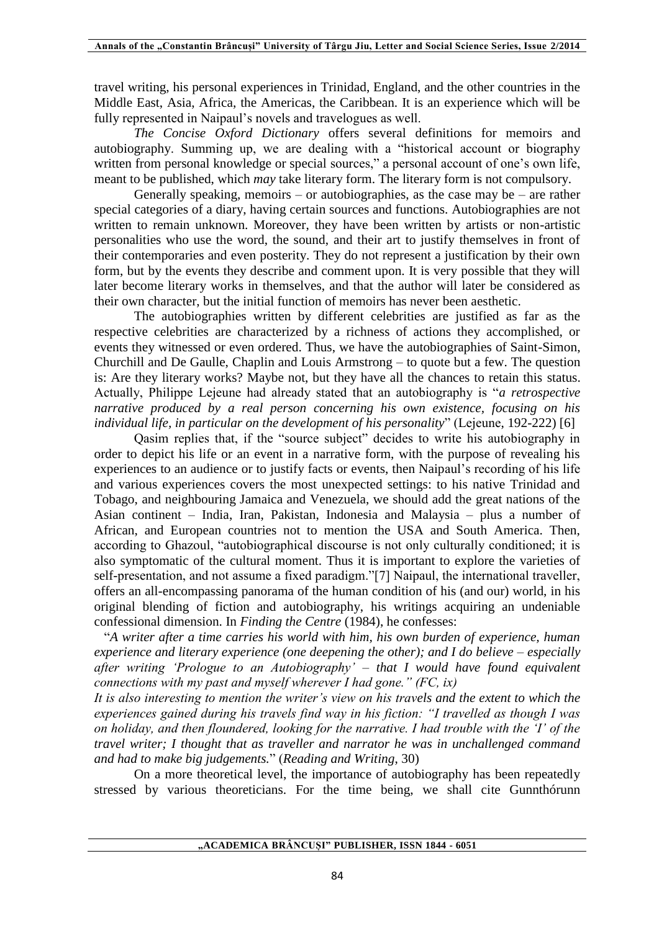travel writing, his personal experiences in Trinidad, England, and the other countries in the Middle East, Asia, Africa, the Americas, the Caribbean. It is an experience which will be fully represented in Naipaul's novels and travelogues as well.

*The Concise Oxford Dictionary* offers several definitions for memoirs and autobiography. Summing up, we are dealing with a "historical account or biography written from personal knowledge or special sources," a personal account of one's own life, meant to be published, which *may* take literary form. The literary form is not compulsory.

Generally speaking, memoirs – or autobiographies, as the case may be – are rather special categories of a diary, having certain sources and functions. Autobiographies are not written to remain unknown. Moreover, they have been written by artists or non-artistic personalities who use the word, the sound, and their art to justify themselves in front of their contemporaries and even posterity. They do not represent a justification by their own form, but by the events they describe and comment upon. It is very possible that they will later become literary works in themselves, and that the author will later be considered as their own character, but the initial function of memoirs has never been aesthetic.

The autobiographies written by different celebrities are justified as far as the respective celebrities are characterized by a richness of actions they accomplished, or events they witnessed or even ordered. Thus, we have the autobiographies of Saint-Simon, Churchill and De Gaulle, Chaplin and Louis Armstrong – to quote but a few. The question is: Are they literary works? Maybe not, but they have all the chances to retain this status. Actually, Philippe Lejeune had already stated that an autobiography is "*a retrospective narrative produced by a real person concerning his own existence, focusing on his individual life, in particular on the development of his personality*" (Lejeune, 192-222) [6]

Qasim replies that, if the "source subject" decides to write his autobiography in order to depict his life or an event in a narrative form, with the purpose of revealing his experiences to an audience or to justify facts or events, then Naipaul's recording of his life and various experiences covers the most unexpected settings: to his native Trinidad and Tobago, and neighbouring Jamaica and Venezuela, we should add the great nations of the Asian continent – India, Iran, Pakistan, Indonesia and Malaysia – plus a number of African, and European countries not to mention the USA and South America. Then, according to Ghazoul, "autobiographical discourse is not only culturally conditioned; it is also symptomatic of the cultural moment. Thus it is important to explore the varieties of self-presentation, and not assume a fixed paradigm."[7] Naipaul, the international traveller, offers an all-encompassing panorama of the human condition of his (and our) world, in his original blending of fiction and autobiography, his writings acquiring an undeniable confessional dimension. In *Finding the Centre* (1984), he confesses:

 "*A writer after a time carries his world with him, his own burden of experience, human experience and literary experience (one deepening the other); and I do believe – especially after writing 'Prologue to an Autobiography' – that I would have found equivalent connections with my past and myself wherever I had gone." (FC, ix)*

*It is also interesting to mention the writer's view on his travels and the extent to which the experiences gained during his travels find way in his fiction: "I travelled as though I was on holiday, and then floundered, looking for the narrative. I had trouble with the 'I' of the travel writer; I thought that as traveller and narrator he was in unchallenged command and had to make big judgements.*" (*Reading and Writing*, 30)

On a more theoretical level, the importance of autobiography has been repeatedly stressed by various theoreticians. For the time being, we shall cite Gunnthórunn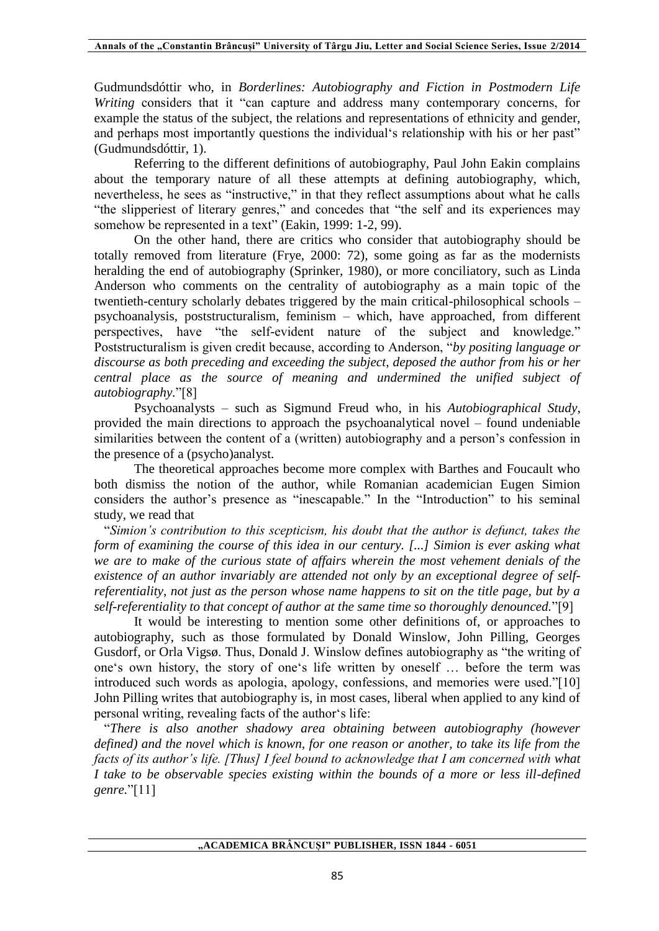Gudmundsdóttir who, in *Borderlines: Autobiography and Fiction in Postmodern Life Writing* considers that it "can capture and address many contemporary concerns, for example the status of the subject, the relations and representations of ethnicity and gender, and perhaps most importantly questions the individual's relationship with his or her past" (Gudmundsdóttir, 1).

Referring to the different definitions of autobiography, Paul John Eakin complains about the temporary nature of all these attempts at defining autobiography, which, nevertheless, he sees as "instructive," in that they reflect assumptions about what he calls "the slipperiest of literary genres," and concedes that "the self and its experiences may somehow be represented in a text" (Eakin, 1999: 1-2, 99).

On the other hand, there are critics who consider that autobiography should be totally removed from literature (Frye, 2000: 72), some going as far as the modernists heralding the end of autobiography (Sprinker, 1980), or more conciliatory, such as Linda Anderson who comments on the centrality of autobiography as a main topic of the twentieth-century scholarly debates triggered by the main critical-philosophical schools – psychoanalysis, poststructuralism, feminism – which, have approached, from different perspectives, have "the self-evident nature of the subject and knowledge." Poststructuralism is given credit because, according to Anderson, "*by positing language or discourse as both preceding and exceeding the subject, deposed the author from his or her central place as the source of meaning and undermined the unified subject of autobiography.*"[8]

Psychoanalysts – such as Sigmund Freud who, in his *Autobiographical Study*, provided the main directions to approach the psychoanalytical novel – found undeniable similarities between the content of a (written) autobiography and a person's confession in the presence of a (psycho)analyst.

The theoretical approaches become more complex with Barthes and Foucault who both dismiss the notion of the author, while Romanian academician Eugen Simion considers the author's presence as "inescapable." In the "Introduction" to his seminal study, we read that

 "*Simion's contribution to this scepticism, his doubt that the author is defunct, takes the form of examining the course of this idea in our century. [...] Simion is ever asking what we are to make of the curious state of affairs wherein the most vehement denials of the existence of an author invariably are attended not only by an exceptional degree of selfreferentiality, not just as the person whose name happens to sit on the title page, but by a self-referentiality to that concept of author at the same time so thoroughly denounced.*"[9]

It would be interesting to mention some other definitions of, or approaches to autobiography, such as those formulated by Donald Winslow, John Pilling, Georges Gusdorf, or Orla Vigsø. Thus, Donald J. Winslow defines autobiography as "the writing of one's own history, the story of one's life written by oneself … before the term was introduced such words as apologia, apology, confessions, and memories were used."[10] John Pilling writes that autobiography is, in most cases, liberal when applied to any kind of personal writing, revealing facts of the author's life:

 "*There is also another shadowy area obtaining between autobiography (however defined) and the novel which is known, for one reason or another, to take its life from the facts of its author's life. [Thus] I feel bound to acknowledge that I am concerned with what I take to be observable species existing within the bounds of a more or less ill-defined genre.*"[11]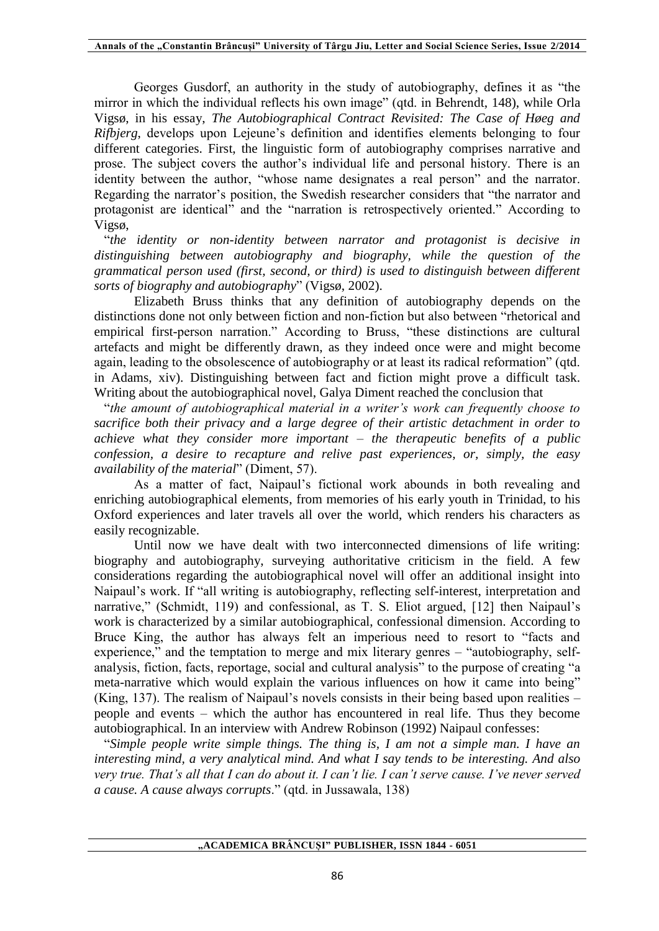Georges Gusdorf, an authority in the study of autobiography, defines it as "the mirror in which the individual reflects his own image" (qtd. in Behrendt, 148), while Orla Vigsø, in his essay, *The Autobiographical Contract Revisited: The Case of Høeg and Rifbjerg*, develops upon Lejeune's definition and identifies elements belonging to four different categories. First, the linguistic form of autobiography comprises narrative and prose. The subject covers the author's individual life and personal history. There is an identity between the author, "whose name designates a real person" and the narrator. Regarding the narrator's position, the Swedish researcher considers that "the narrator and protagonist are identical" and the "narration is retrospectively oriented." According to Vigsø,

 "*the identity or non-identity between narrator and protagonist is decisive in distinguishing between autobiography and biography, while the question of the grammatical person used (first, second, or third) is used to distinguish between different sorts of biography and autobiography*" (Vigsø, 2002).

Elizabeth Bruss thinks that any definition of autobiography depends on the distinctions done not only between fiction and non-fiction but also between "rhetorical and empirical first-person narration." According to Bruss, "these distinctions are cultural artefacts and might be differently drawn, as they indeed once were and might become again, leading to the obsolescence of autobiography or at least its radical reformation" (qtd. in Adams, xiv). Distinguishing between fact and fiction might prove a difficult task. Writing about the autobiographical novel, Galya Diment reached the conclusion that

 "*the amount of autobiographical material in a writer's work can frequently choose to sacrifice both their privacy and a large degree of their artistic detachment in order to achieve what they consider more important – the therapeutic benefits of a public confession, a desire to recapture and relive past experiences, or, simply, the easy availability of the material*" (Diment, 57).

As a matter of fact, Naipaul's fictional work abounds in both revealing and enriching autobiographical elements, from memories of his early youth in Trinidad, to his Oxford experiences and later travels all over the world, which renders his characters as easily recognizable.

Until now we have dealt with two interconnected dimensions of life writing: biography and autobiography, surveying authoritative criticism in the field. A few considerations regarding the autobiographical novel will offer an additional insight into Naipaul's work. If "all writing is autobiography, reflecting self-interest, interpretation and narrative," (Schmidt, 119) and confessional, as T. S. Eliot argued, [12] then Naipaul's work is characterized by a similar autobiographical, confessional dimension. According to Bruce King, the author has always felt an imperious need to resort to "facts and experience," and the temptation to merge and mix literary genres – "autobiography, selfanalysis, fiction, facts, reportage, social and cultural analysis" to the purpose of creating "a meta-narrative which would explain the various influences on how it came into being" (King, 137). The realism of Naipaul's novels consists in their being based upon realities – people and events – which the author has encountered in real life. Thus they become autobiographical. In an interview with Andrew Robinson (1992) Naipaul confesses:

 "*Simple people write simple things. The thing is, I am not a simple man. I have an interesting mind, a very analytical mind. And what I say tends to be interesting. And also very true. That's all that I can do about it. I can't lie. I can't serve cause. I've never served a cause. A cause always corrupts*." (qtd. in Jussawala, 138)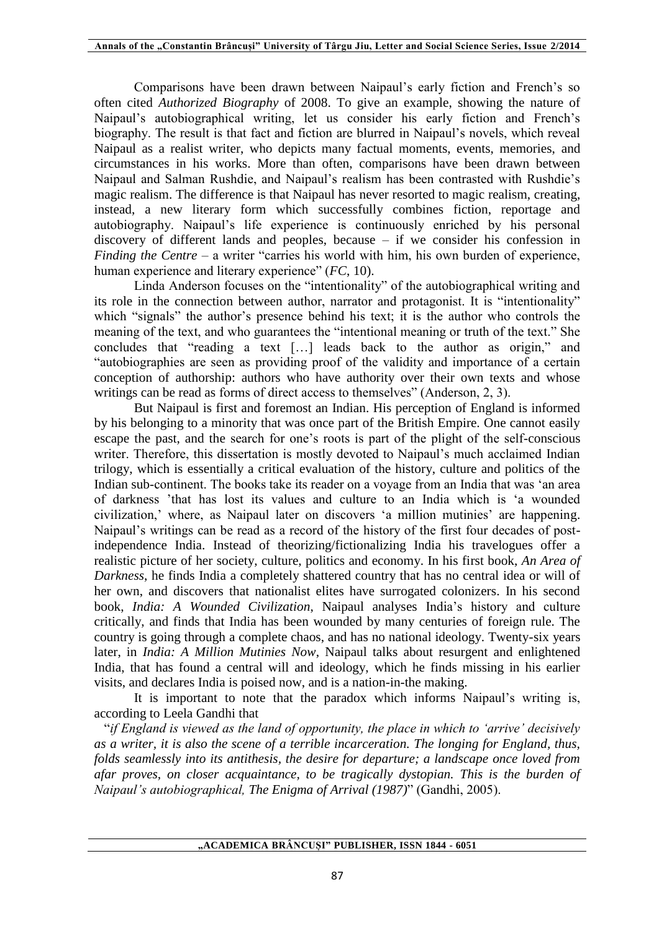Comparisons have been drawn between Naipaul's early fiction and French's so often cited *Authorized Biography* of 2008. To give an example, showing the nature of Naipaul's autobiographical writing, let us consider his early fiction and French's biography. The result is that fact and fiction are blurred in Naipaul's novels, which reveal Naipaul as a realist writer, who depicts many factual moments, events, memories, and circumstances in his works. More than often, comparisons have been drawn between Naipaul and Salman Rushdie, and Naipaul's realism has been contrasted with Rushdie's magic realism. The difference is that Naipaul has never resorted to magic realism, creating, instead, a new literary form which successfully combines fiction, reportage and autobiography. Naipaul's life experience is continuously enriched by his personal discovery of different lands and peoples, because – if we consider his confession in *Finding the Centre – a writer "carries his world with him, his own burden of experience,* human experience and literary experience" (*FC*, 10).

Linda Anderson focuses on the "intentionality" of the autobiographical writing and its role in the connection between author, narrator and protagonist. It is "intentionality" which "signals" the author's presence behind his text; it is the author who controls the meaning of the text, and who guarantees the "intentional meaning or truth of the text." She concludes that "reading a text […] leads back to the author as origin," and "autobiographies are seen as providing proof of the validity and importance of a certain conception of authorship: authors who have authority over their own texts and whose writings can be read as forms of direct access to themselves" (Anderson, 2, 3).

But Naipaul is first and foremost an Indian. His perception of England is informed by his belonging to a minority that was once part of the British Empire. One cannot easily escape the past, and the search for one's roots is part of the plight of the self-conscious writer. Therefore, this dissertation is mostly devoted to Naipaul's much acclaimed Indian trilogy, which is essentially a critical evaluation of the history, culture and politics of the Indian sub-continent. The books take its reader on a voyage from an India that was 'an area of darkness 'that has lost its values and culture to an India which is 'a wounded civilization,' where, as Naipaul later on discovers 'a million mutinies' are happening. Naipaul's writings can be read as a record of the history of the first four decades of postindependence India. Instead of theorizing/fictionalizing India his travelogues offer a realistic picture of her society, culture, politics and economy. In his first book, *An Area of Darkness*, he finds India a completely shattered country that has no central idea or will of her own, and discovers that nationalist elites have surrogated colonizers. In his second book, *India: A Wounded Civilization*, Naipaul analyses India's history and culture critically, and finds that India has been wounded by many centuries of foreign rule. The country is going through a complete chaos, and has no national ideology. Twenty-six years later, in *India: A Million Mutinies Now*, Naipaul talks about resurgent and enlightened India, that has found a central will and ideology, which he finds missing in his earlier visits, and declares India is poised now, and is a nation-in-the making.

It is important to note that the paradox which informs Naipaul's writing is, according to Leela Gandhi that

 "*if England is viewed as the land of opportunity, the place in which to 'arrive' decisively as a writer, it is also the scene of a terrible incarceration. The longing for England, thus, folds seamlessly into its antithesis, the desire for departure; a landscape once loved from afar proves, on closer acquaintance, to be tragically dystopian. This is the burden of Naipaul's autobiographical, The Enigma of Arrival (1987)*" (Gandhi, 2005).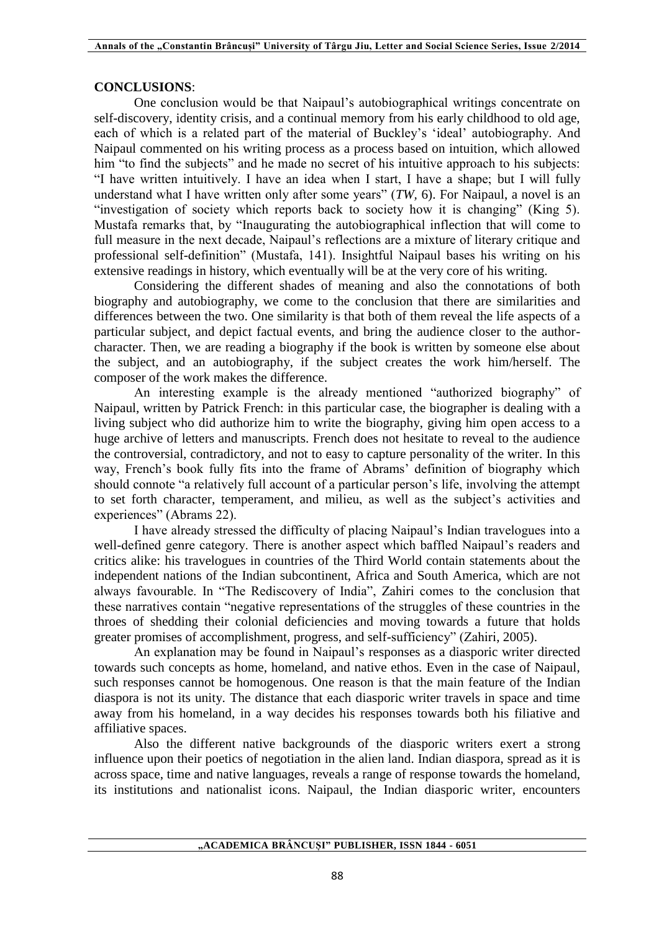#### **CONCLUSIONS**:

One conclusion would be that Naipaul's autobiographical writings concentrate on self-discovery, identity crisis, and a continual memory from his early childhood to old age, each of which is a related part of the material of Buckley's 'ideal' autobiography. And Naipaul commented on his writing process as a process based on intuition, which allowed him "to find the subjects" and he made no secret of his intuitive approach to his subjects: "I have written intuitively. I have an idea when I start, I have a shape; but I will fully understand what I have written only after some years" (*TW,* 6). For Naipaul, a novel is an "investigation of society which reports back to society how it is changing" (King 5). Mustafa remarks that, by "Inaugurating the autobiographical inflection that will come to full measure in the next decade, Naipaul's reflections are a mixture of literary critique and professional self-definition" (Mustafa, 141). Insightful Naipaul bases his writing on his extensive readings in history, which eventually will be at the very core of his writing.

Considering the different shades of meaning and also the connotations of both biography and autobiography, we come to the conclusion that there are similarities and differences between the two. One similarity is that both of them reveal the life aspects of a particular subject, and depict factual events, and bring the audience closer to the authorcharacter. Then, we are reading a biography if the book is written by someone else about the subject, and an autobiography, if the subject creates the work him/herself. The composer of the work makes the difference.

An interesting example is the already mentioned "authorized biography" of Naipaul, written by Patrick French: in this particular case, the biographer is dealing with a living subject who did authorize him to write the biography, giving him open access to a huge archive of letters and manuscripts. French does not hesitate to reveal to the audience the controversial, contradictory, and not to easy to capture personality of the writer. In this way, French's book fully fits into the frame of Abrams' definition of biography which should connote "a relatively full account of a particular person's life, involving the attempt to set forth character, temperament, and milieu, as well as the subject's activities and experiences" (Abrams 22).

I have already stressed the difficulty of placing Naipaul's Indian travelogues into a well-defined genre category. There is another aspect which baffled Naipaul's readers and critics alike: his travelogues in countries of the Third World contain statements about the independent nations of the Indian subcontinent, Africa and South America, which are not always favourable. In "The Rediscovery of India", Zahiri comes to the conclusion that these narratives contain "negative representations of the struggles of these countries in the throes of shedding their colonial deficiencies and moving towards a future that holds greater promises of accomplishment, progress, and self-sufficiency" (Zahiri, 2005).

An explanation may be found in Naipaul's responses as a diasporic writer directed towards such concepts as home, homeland, and native ethos. Even in the case of Naipaul, such responses cannot be homogenous. One reason is that the main feature of the Indian diaspora is not its unity. The distance that each diasporic writer travels in space and time away from his homeland, in a way decides his responses towards both his filiative and affiliative spaces.

Also the different native backgrounds of the diasporic writers exert a strong influence upon their poetics of negotiation in the alien land. Indian diaspora, spread as it is across space, time and native languages, reveals a range of response towards the homeland, its institutions and nationalist icons. Naipaul, the Indian diasporic writer, encounters